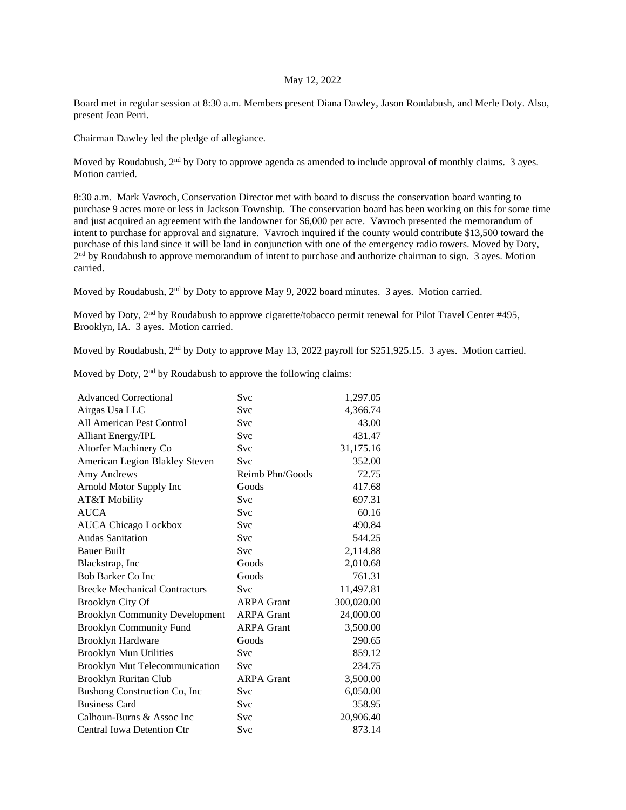## May 12, 2022

Board met in regular session at 8:30 a.m. Members present Diana Dawley, Jason Roudabush, and Merle Doty. Also, present Jean Perri.

Chairman Dawley led the pledge of allegiance.

Moved by Roudabush, 2<sup>nd</sup> by Doty to approve agenda as amended to include approval of monthly claims. 3 ayes. Motion carried.

8:30 a.m. Mark Vavroch, Conservation Director met with board to discuss the conservation board wanting to purchase 9 acres more or less in Jackson Township. The conservation board has been working on this for some time and just acquired an agreement with the landowner for \$6,000 per acre. Vavroch presented the memorandum of intent to purchase for approval and signature. Vavroch inquired if the county would contribute \$13,500 toward the purchase of this land since it will be land in conjunction with one of the emergency radio towers. Moved by Doty, 2<sup>nd</sup> by Roudabush to approve memorandum of intent to purchase and authorize chairman to sign. 3 ayes. Motion carried.

Moved by Roudabush, 2<sup>nd</sup> by Doty to approve May 9, 2022 board minutes. 3 ayes. Motion carried.

Moved by Doty, 2<sup>nd</sup> by Roudabush to approve cigarette/tobacco permit renewal for Pilot Travel Center #495, Brooklyn, IA. 3 ayes. Motion carried.

Moved by Roudabush, 2<sup>nd</sup> by Doty to approve May 13, 2022 payroll for \$251,925.15. 3 ayes. Motion carried.

Moved by Doty, 2nd by Roudabush to approve the following claims:

| <b>Advanced Correctional</b>          | Svc               | 1,297.05   |
|---------------------------------------|-------------------|------------|
| Airgas Usa LLC                        | <b>Svc</b>        | 4,366.74   |
| All American Pest Control             | Svc               | 43.00      |
| <b>Alliant Energy/IPL</b>             | Svc               | 431.47     |
| Altorfer Machinery Co                 | Svc               | 31,175.16  |
| American Legion Blakley Steven        | Svc               | 352.00     |
| Amy Andrews                           | Reimb Phn/Goods   | 72.75      |
| Arnold Motor Supply Inc               | Goods             | 417.68     |
| AT&T Mobility                         | Svc               | 697.31     |
| <b>AUCA</b>                           | Svc               | 60.16      |
| <b>AUCA Chicago Lockbox</b>           | Svc               | 490.84     |
| <b>Audas Sanitation</b>               | Svc               | 544.25     |
| <b>Bauer Built</b>                    | Svc               | 2,114.88   |
| Blackstrap, Inc.                      | Goods             | 2,010.68   |
| <b>Bob Barker Co Inc</b>              | Goods             | 761.31     |
| <b>Brecke Mechanical Contractors</b>  | Svc               | 11,497.81  |
| <b>Brooklyn City Of</b>               | <b>ARPA Grant</b> | 300,020.00 |
| <b>Brooklyn Community Development</b> | <b>ARPA Grant</b> | 24,000.00  |
| <b>Brooklyn Community Fund</b>        | <b>ARPA Grant</b> | 3,500.00   |
| Brooklyn Hardware                     | Goods             | 290.65     |
| <b>Brooklyn Mun Utilities</b>         | Svc               | 859.12     |
| Brooklyn Mut Telecommunication        | Svc               | 234.75     |
| Brooklyn Ruritan Club                 | <b>ARPA Grant</b> | 3,500.00   |
| Bushong Construction Co, Inc.         | Svc               | 6,050.00   |
| <b>Business Card</b>                  | Svc               | 358.95     |
| Calhoun-Burns & Assoc Inc             | Svc               | 20,906.40  |
| Central Iowa Detention Ctr            | Svc               | 873.14     |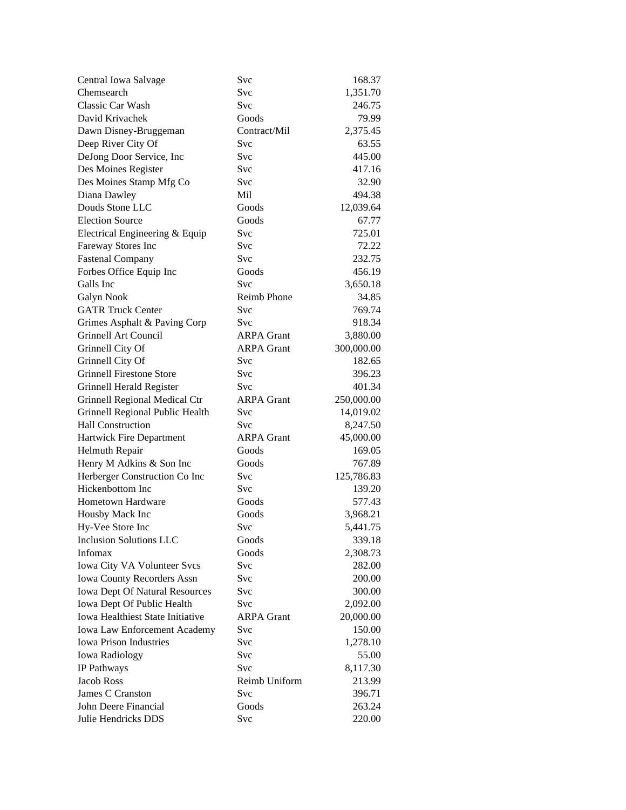| Central Iowa Salvage                | Svc                | 168.37     |
|-------------------------------------|--------------------|------------|
| Chemsearch                          | Svc                | 1,351.70   |
| Classic Car Wash                    | Svc                | 246.75     |
| David Krivachek                     | Goods              | 79.99      |
| Dawn Disney-Bruggeman               | Contract/Mil       | 2,375.45   |
| Deep River City Of                  | Svc                | 63.55      |
| DeJong Door Service, Inc            | Svc                | 445.00     |
| Des Moines Register                 | Svc                | 417.16     |
| Des Moines Stamp Mfg Co             | Svc                | 32.90      |
| Diana Dawley                        | Mil                | 494.38     |
| Douds Stone LLC                     | Goods              | 12,039.64  |
| <b>Election Source</b>              | Goods              | 67.77      |
| Electrical Engineering & Equip      | Svc                | 725.01     |
| Fareway Stores Inc                  | Svc                | 72.22      |
| <b>Fastenal Company</b>             | Svc                | 232.75     |
| Forbes Office Equip Inc             | Goods              | 456.19     |
| Galls Inc                           | Svc                | 3,650.18   |
| Galyn Nook                          | <b>Reimb Phone</b> | 34.85      |
| <b>GATR Truck Center</b>            | Svc                | 769.74     |
| Grimes Asphalt & Paving Corp        | Svc                | 918.34     |
| Grinnell Art Council                | <b>ARPA Grant</b>  | 3,880.00   |
| Grinnell City Of                    | <b>ARPA Grant</b>  | 300,000.00 |
| Grinnell City Of                    | Svc                | 182.65     |
| <b>Grinnell Firestone Store</b>     | Svc                | 396.23     |
| Grinnell Herald Register            | Svc                | 401.34     |
| Grinnell Regional Medical Ctr       | <b>ARPA Grant</b>  | 250,000.00 |
| Grinnell Regional Public Health     | Svc                | 14,019.02  |
| <b>Hall Construction</b>            | Svc                | 8,247.50   |
| Hartwick Fire Department            | <b>ARPA Grant</b>  | 45,000.00  |
| Helmuth Repair                      | Goods              | 169.05     |
| Henry M Adkins & Son Inc            | Goods              | 767.89     |
| Herberger Construction Co Inc       | Svc                | 125,786.83 |
| Hickenbottom Inc                    | Svc                | 139.20     |
| <b>Hometown Hardware</b>            | Goods              | 577.43     |
| Housby Mack Inc                     | Goods              | 3,968.21   |
| Hy-Vee Store Inc                    | <b>Svc</b>         | 5,441.75   |
| <b>Inclusion Solutions LLC</b>      | Goods              | 339.18     |
| Infomax                             | Goods              | 2,308.73   |
| Iowa City VA Volunteer Svcs         | Svc                | 282.00     |
| Iowa County Recorders Assn          | Svc                | 200.00     |
| Iowa Dept Of Natural Resources      | Svc                | 300.00     |
| Iowa Dept Of Public Health          | Svc                | 2,092.00   |
| Iowa Healthiest State Initiative    | <b>ARPA Grant</b>  | 20,000.00  |
| <b>Iowa Law Enforcement Academy</b> | Svc                | 150.00     |
| <b>Iowa Prison Industries</b>       | Svc                | 1,278.10   |
| <b>Iowa Radiology</b>               | Svc                | 55.00      |
| IP Pathways                         | Svc                | 8,117.30   |
| Jacob Ross                          | Reimb Uniform      | 213.99     |
| James C Cranston                    | Svc                | 396.71     |
| John Deere Financial                | Goods              | 263.24     |
| Julie Hendricks DDS                 | Svc                | 220.00     |
|                                     |                    |            |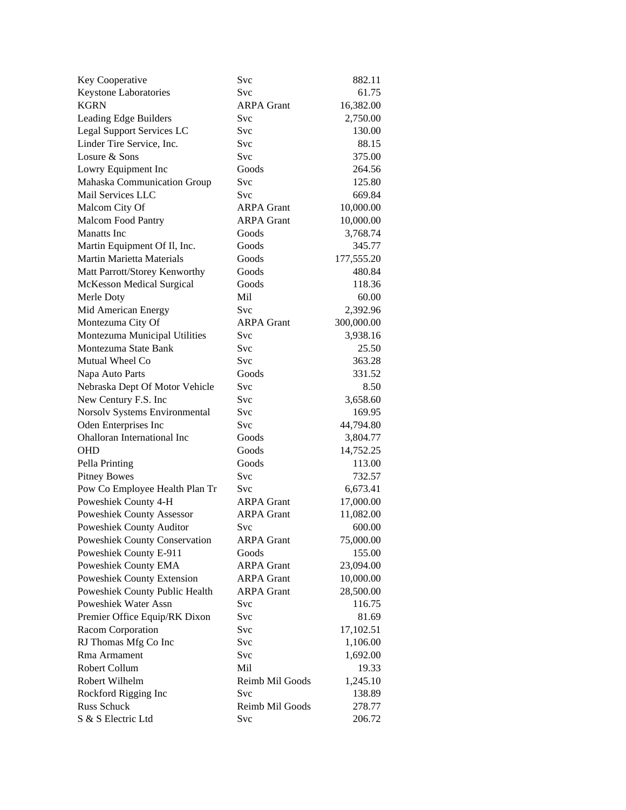| Svc<br>61.75<br>Keystone Laboratories<br><b>KGRN</b><br><b>ARPA Grant</b><br>16,382.00<br>Leading Edge Builders<br>Svc<br>2,750.00<br>Legal Support Services LC<br>Svc<br>130.00<br>Linder Tire Service, Inc.<br>Svc<br>88.15<br>Losure & Sons<br>Svc<br>375.00<br>Goods<br>264.56<br>Lowry Equipment Inc<br>Mahaska Communication Group<br>Svc<br>125.80<br>Mail Services LLC<br>Svc<br>669.84<br>Malcom City Of<br><b>ARPA Grant</b><br>10,000.00<br><b>Malcom Food Pantry</b><br><b>ARPA Grant</b><br>10,000.00<br><b>Manatts</b> Inc<br>3,768.74<br>Goods<br>Martin Equipment Of Il, Inc.<br>Goods<br>345.77<br>Martin Marietta Materials<br>Goods<br>177,555.20<br>Matt Parrott/Storey Kenworthy<br>Goods<br>480.84<br>McKesson Medical Surgical<br>Goods<br>118.36<br>Mil<br>Merle Doty<br>60.00<br>Mid American Energy<br>Svc<br>2,392.96<br><b>ARPA Grant</b><br>300,000.00<br>Montezuma City Of<br>Montezuma Municipal Utilities<br>3,938.16<br>Svc<br>Montezuma State Bank<br>25.50<br>Svc<br>Mutual Wheel Co<br>Svc<br>363.28<br>Goods<br>331.52<br>Napa Auto Parts<br>Nebraska Dept Of Motor Vehicle<br>Svc<br>8.50<br>New Century F.S. Inc<br>Svc<br>3,658.60<br>Norsolv Systems Environmental<br>Svc<br>169.95<br>Oden Enterprises Inc<br>Svc<br>44,794.80<br><b>Ohalloran International Inc</b><br>Goods<br>3,804.77<br>Goods<br><b>OHD</b><br>14,752.25<br>Goods<br>113.00<br>Pella Printing<br>Svc<br>732.57<br><b>Pitney Bowes</b><br>Pow Co Employee Health Plan Tr<br>Svc<br>6,673.41<br>Poweshiek County 4-H<br><b>ARPA Grant</b><br>17,000.00<br>Poweshiek County Assessor<br><b>ARPA Grant</b><br>11,082.00<br>Poweshiek County Auditor<br>600.00<br>Svc<br><b>ARPA Grant</b><br>Poweshiek County Conservation<br>75,000.00<br>Poweshiek County E-911<br>Goods<br>155.00<br>Poweshiek County EMA<br><b>ARPA Grant</b><br>23,094.00<br>Poweshiek County Extension<br><b>ARPA Grant</b><br>10,000.00<br>Poweshiek County Public Health<br><b>ARPA Grant</b><br>28,500.00<br>Poweshiek Water Assn<br>116.75<br>Svc<br>Premier Office Equip/RK Dixon<br>Svc<br>81.69<br>Racom Corporation<br>Svc<br>17,102.51<br>RJ Thomas Mfg Co Inc<br>Svc<br>1,106.00<br>Rma Armament<br>Svc<br>1,692.00<br>Robert Collum<br>Mil<br>19.33<br>Robert Wilhelm<br>1,245.10<br>Reimb Mil Goods<br>Rockford Rigging Inc<br>Svc<br>138.89<br>Russ Schuck<br>Reimb Mil Goods<br>278.77<br>S & S Electric Ltd<br>Svc<br>206.72 | Key Cooperative | Svc | 882.11 |
|------------------------------------------------------------------------------------------------------------------------------------------------------------------------------------------------------------------------------------------------------------------------------------------------------------------------------------------------------------------------------------------------------------------------------------------------------------------------------------------------------------------------------------------------------------------------------------------------------------------------------------------------------------------------------------------------------------------------------------------------------------------------------------------------------------------------------------------------------------------------------------------------------------------------------------------------------------------------------------------------------------------------------------------------------------------------------------------------------------------------------------------------------------------------------------------------------------------------------------------------------------------------------------------------------------------------------------------------------------------------------------------------------------------------------------------------------------------------------------------------------------------------------------------------------------------------------------------------------------------------------------------------------------------------------------------------------------------------------------------------------------------------------------------------------------------------------------------------------------------------------------------------------------------------------------------------------------------------------------------------------------------------------------------------------------------------------------------------------------------------------------------------------------------------------------------------------------------------------------------------------------------------------------------------------------------------------------------------------------------------------------------------------------------------------|-----------------|-----|--------|
|                                                                                                                                                                                                                                                                                                                                                                                                                                                                                                                                                                                                                                                                                                                                                                                                                                                                                                                                                                                                                                                                                                                                                                                                                                                                                                                                                                                                                                                                                                                                                                                                                                                                                                                                                                                                                                                                                                                                                                                                                                                                                                                                                                                                                                                                                                                                                                                                                              |                 |     |        |
|                                                                                                                                                                                                                                                                                                                                                                                                                                                                                                                                                                                                                                                                                                                                                                                                                                                                                                                                                                                                                                                                                                                                                                                                                                                                                                                                                                                                                                                                                                                                                                                                                                                                                                                                                                                                                                                                                                                                                                                                                                                                                                                                                                                                                                                                                                                                                                                                                              |                 |     |        |
|                                                                                                                                                                                                                                                                                                                                                                                                                                                                                                                                                                                                                                                                                                                                                                                                                                                                                                                                                                                                                                                                                                                                                                                                                                                                                                                                                                                                                                                                                                                                                                                                                                                                                                                                                                                                                                                                                                                                                                                                                                                                                                                                                                                                                                                                                                                                                                                                                              |                 |     |        |
|                                                                                                                                                                                                                                                                                                                                                                                                                                                                                                                                                                                                                                                                                                                                                                                                                                                                                                                                                                                                                                                                                                                                                                                                                                                                                                                                                                                                                                                                                                                                                                                                                                                                                                                                                                                                                                                                                                                                                                                                                                                                                                                                                                                                                                                                                                                                                                                                                              |                 |     |        |
|                                                                                                                                                                                                                                                                                                                                                                                                                                                                                                                                                                                                                                                                                                                                                                                                                                                                                                                                                                                                                                                                                                                                                                                                                                                                                                                                                                                                                                                                                                                                                                                                                                                                                                                                                                                                                                                                                                                                                                                                                                                                                                                                                                                                                                                                                                                                                                                                                              |                 |     |        |
|                                                                                                                                                                                                                                                                                                                                                                                                                                                                                                                                                                                                                                                                                                                                                                                                                                                                                                                                                                                                                                                                                                                                                                                                                                                                                                                                                                                                                                                                                                                                                                                                                                                                                                                                                                                                                                                                                                                                                                                                                                                                                                                                                                                                                                                                                                                                                                                                                              |                 |     |        |
|                                                                                                                                                                                                                                                                                                                                                                                                                                                                                                                                                                                                                                                                                                                                                                                                                                                                                                                                                                                                                                                                                                                                                                                                                                                                                                                                                                                                                                                                                                                                                                                                                                                                                                                                                                                                                                                                                                                                                                                                                                                                                                                                                                                                                                                                                                                                                                                                                              |                 |     |        |
|                                                                                                                                                                                                                                                                                                                                                                                                                                                                                                                                                                                                                                                                                                                                                                                                                                                                                                                                                                                                                                                                                                                                                                                                                                                                                                                                                                                                                                                                                                                                                                                                                                                                                                                                                                                                                                                                                                                                                                                                                                                                                                                                                                                                                                                                                                                                                                                                                              |                 |     |        |
|                                                                                                                                                                                                                                                                                                                                                                                                                                                                                                                                                                                                                                                                                                                                                                                                                                                                                                                                                                                                                                                                                                                                                                                                                                                                                                                                                                                                                                                                                                                                                                                                                                                                                                                                                                                                                                                                                                                                                                                                                                                                                                                                                                                                                                                                                                                                                                                                                              |                 |     |        |
|                                                                                                                                                                                                                                                                                                                                                                                                                                                                                                                                                                                                                                                                                                                                                                                                                                                                                                                                                                                                                                                                                                                                                                                                                                                                                                                                                                                                                                                                                                                                                                                                                                                                                                                                                                                                                                                                                                                                                                                                                                                                                                                                                                                                                                                                                                                                                                                                                              |                 |     |        |
|                                                                                                                                                                                                                                                                                                                                                                                                                                                                                                                                                                                                                                                                                                                                                                                                                                                                                                                                                                                                                                                                                                                                                                                                                                                                                                                                                                                                                                                                                                                                                                                                                                                                                                                                                                                                                                                                                                                                                                                                                                                                                                                                                                                                                                                                                                                                                                                                                              |                 |     |        |
|                                                                                                                                                                                                                                                                                                                                                                                                                                                                                                                                                                                                                                                                                                                                                                                                                                                                                                                                                                                                                                                                                                                                                                                                                                                                                                                                                                                                                                                                                                                                                                                                                                                                                                                                                                                                                                                                                                                                                                                                                                                                                                                                                                                                                                                                                                                                                                                                                              |                 |     |        |
|                                                                                                                                                                                                                                                                                                                                                                                                                                                                                                                                                                                                                                                                                                                                                                                                                                                                                                                                                                                                                                                                                                                                                                                                                                                                                                                                                                                                                                                                                                                                                                                                                                                                                                                                                                                                                                                                                                                                                                                                                                                                                                                                                                                                                                                                                                                                                                                                                              |                 |     |        |
|                                                                                                                                                                                                                                                                                                                                                                                                                                                                                                                                                                                                                                                                                                                                                                                                                                                                                                                                                                                                                                                                                                                                                                                                                                                                                                                                                                                                                                                                                                                                                                                                                                                                                                                                                                                                                                                                                                                                                                                                                                                                                                                                                                                                                                                                                                                                                                                                                              |                 |     |        |
|                                                                                                                                                                                                                                                                                                                                                                                                                                                                                                                                                                                                                                                                                                                                                                                                                                                                                                                                                                                                                                                                                                                                                                                                                                                                                                                                                                                                                                                                                                                                                                                                                                                                                                                                                                                                                                                                                                                                                                                                                                                                                                                                                                                                                                                                                                                                                                                                                              |                 |     |        |
|                                                                                                                                                                                                                                                                                                                                                                                                                                                                                                                                                                                                                                                                                                                                                                                                                                                                                                                                                                                                                                                                                                                                                                                                                                                                                                                                                                                                                                                                                                                                                                                                                                                                                                                                                                                                                                                                                                                                                                                                                                                                                                                                                                                                                                                                                                                                                                                                                              |                 |     |        |
|                                                                                                                                                                                                                                                                                                                                                                                                                                                                                                                                                                                                                                                                                                                                                                                                                                                                                                                                                                                                                                                                                                                                                                                                                                                                                                                                                                                                                                                                                                                                                                                                                                                                                                                                                                                                                                                                                                                                                                                                                                                                                                                                                                                                                                                                                                                                                                                                                              |                 |     |        |
|                                                                                                                                                                                                                                                                                                                                                                                                                                                                                                                                                                                                                                                                                                                                                                                                                                                                                                                                                                                                                                                                                                                                                                                                                                                                                                                                                                                                                                                                                                                                                                                                                                                                                                                                                                                                                                                                                                                                                                                                                                                                                                                                                                                                                                                                                                                                                                                                                              |                 |     |        |
|                                                                                                                                                                                                                                                                                                                                                                                                                                                                                                                                                                                                                                                                                                                                                                                                                                                                                                                                                                                                                                                                                                                                                                                                                                                                                                                                                                                                                                                                                                                                                                                                                                                                                                                                                                                                                                                                                                                                                                                                                                                                                                                                                                                                                                                                                                                                                                                                                              |                 |     |        |
|                                                                                                                                                                                                                                                                                                                                                                                                                                                                                                                                                                                                                                                                                                                                                                                                                                                                                                                                                                                                                                                                                                                                                                                                                                                                                                                                                                                                                                                                                                                                                                                                                                                                                                                                                                                                                                                                                                                                                                                                                                                                                                                                                                                                                                                                                                                                                                                                                              |                 |     |        |
|                                                                                                                                                                                                                                                                                                                                                                                                                                                                                                                                                                                                                                                                                                                                                                                                                                                                                                                                                                                                                                                                                                                                                                                                                                                                                                                                                                                                                                                                                                                                                                                                                                                                                                                                                                                                                                                                                                                                                                                                                                                                                                                                                                                                                                                                                                                                                                                                                              |                 |     |        |
|                                                                                                                                                                                                                                                                                                                                                                                                                                                                                                                                                                                                                                                                                                                                                                                                                                                                                                                                                                                                                                                                                                                                                                                                                                                                                                                                                                                                                                                                                                                                                                                                                                                                                                                                                                                                                                                                                                                                                                                                                                                                                                                                                                                                                                                                                                                                                                                                                              |                 |     |        |
|                                                                                                                                                                                                                                                                                                                                                                                                                                                                                                                                                                                                                                                                                                                                                                                                                                                                                                                                                                                                                                                                                                                                                                                                                                                                                                                                                                                                                                                                                                                                                                                                                                                                                                                                                                                                                                                                                                                                                                                                                                                                                                                                                                                                                                                                                                                                                                                                                              |                 |     |        |
|                                                                                                                                                                                                                                                                                                                                                                                                                                                                                                                                                                                                                                                                                                                                                                                                                                                                                                                                                                                                                                                                                                                                                                                                                                                                                                                                                                                                                                                                                                                                                                                                                                                                                                                                                                                                                                                                                                                                                                                                                                                                                                                                                                                                                                                                                                                                                                                                                              |                 |     |        |
|                                                                                                                                                                                                                                                                                                                                                                                                                                                                                                                                                                                                                                                                                                                                                                                                                                                                                                                                                                                                                                                                                                                                                                                                                                                                                                                                                                                                                                                                                                                                                                                                                                                                                                                                                                                                                                                                                                                                                                                                                                                                                                                                                                                                                                                                                                                                                                                                                              |                 |     |        |
|                                                                                                                                                                                                                                                                                                                                                                                                                                                                                                                                                                                                                                                                                                                                                                                                                                                                                                                                                                                                                                                                                                                                                                                                                                                                                                                                                                                                                                                                                                                                                                                                                                                                                                                                                                                                                                                                                                                                                                                                                                                                                                                                                                                                                                                                                                                                                                                                                              |                 |     |        |
|                                                                                                                                                                                                                                                                                                                                                                                                                                                                                                                                                                                                                                                                                                                                                                                                                                                                                                                                                                                                                                                                                                                                                                                                                                                                                                                                                                                                                                                                                                                                                                                                                                                                                                                                                                                                                                                                                                                                                                                                                                                                                                                                                                                                                                                                                                                                                                                                                              |                 |     |        |
|                                                                                                                                                                                                                                                                                                                                                                                                                                                                                                                                                                                                                                                                                                                                                                                                                                                                                                                                                                                                                                                                                                                                                                                                                                                                                                                                                                                                                                                                                                                                                                                                                                                                                                                                                                                                                                                                                                                                                                                                                                                                                                                                                                                                                                                                                                                                                                                                                              |                 |     |        |
|                                                                                                                                                                                                                                                                                                                                                                                                                                                                                                                                                                                                                                                                                                                                                                                                                                                                                                                                                                                                                                                                                                                                                                                                                                                                                                                                                                                                                                                                                                                                                                                                                                                                                                                                                                                                                                                                                                                                                                                                                                                                                                                                                                                                                                                                                                                                                                                                                              |                 |     |        |
|                                                                                                                                                                                                                                                                                                                                                                                                                                                                                                                                                                                                                                                                                                                                                                                                                                                                                                                                                                                                                                                                                                                                                                                                                                                                                                                                                                                                                                                                                                                                                                                                                                                                                                                                                                                                                                                                                                                                                                                                                                                                                                                                                                                                                                                                                                                                                                                                                              |                 |     |        |
|                                                                                                                                                                                                                                                                                                                                                                                                                                                                                                                                                                                                                                                                                                                                                                                                                                                                                                                                                                                                                                                                                                                                                                                                                                                                                                                                                                                                                                                                                                                                                                                                                                                                                                                                                                                                                                                                                                                                                                                                                                                                                                                                                                                                                                                                                                                                                                                                                              |                 |     |        |
|                                                                                                                                                                                                                                                                                                                                                                                                                                                                                                                                                                                                                                                                                                                                                                                                                                                                                                                                                                                                                                                                                                                                                                                                                                                                                                                                                                                                                                                                                                                                                                                                                                                                                                                                                                                                                                                                                                                                                                                                                                                                                                                                                                                                                                                                                                                                                                                                                              |                 |     |        |
|                                                                                                                                                                                                                                                                                                                                                                                                                                                                                                                                                                                                                                                                                                                                                                                                                                                                                                                                                                                                                                                                                                                                                                                                                                                                                                                                                                                                                                                                                                                                                                                                                                                                                                                                                                                                                                                                                                                                                                                                                                                                                                                                                                                                                                                                                                                                                                                                                              |                 |     |        |
|                                                                                                                                                                                                                                                                                                                                                                                                                                                                                                                                                                                                                                                                                                                                                                                                                                                                                                                                                                                                                                                                                                                                                                                                                                                                                                                                                                                                                                                                                                                                                                                                                                                                                                                                                                                                                                                                                                                                                                                                                                                                                                                                                                                                                                                                                                                                                                                                                              |                 |     |        |
|                                                                                                                                                                                                                                                                                                                                                                                                                                                                                                                                                                                                                                                                                                                                                                                                                                                                                                                                                                                                                                                                                                                                                                                                                                                                                                                                                                                                                                                                                                                                                                                                                                                                                                                                                                                                                                                                                                                                                                                                                                                                                                                                                                                                                                                                                                                                                                                                                              |                 |     |        |
|                                                                                                                                                                                                                                                                                                                                                                                                                                                                                                                                                                                                                                                                                                                                                                                                                                                                                                                                                                                                                                                                                                                                                                                                                                                                                                                                                                                                                                                                                                                                                                                                                                                                                                                                                                                                                                                                                                                                                                                                                                                                                                                                                                                                                                                                                                                                                                                                                              |                 |     |        |
|                                                                                                                                                                                                                                                                                                                                                                                                                                                                                                                                                                                                                                                                                                                                                                                                                                                                                                                                                                                                                                                                                                                                                                                                                                                                                                                                                                                                                                                                                                                                                                                                                                                                                                                                                                                                                                                                                                                                                                                                                                                                                                                                                                                                                                                                                                                                                                                                                              |                 |     |        |
|                                                                                                                                                                                                                                                                                                                                                                                                                                                                                                                                                                                                                                                                                                                                                                                                                                                                                                                                                                                                                                                                                                                                                                                                                                                                                                                                                                                                                                                                                                                                                                                                                                                                                                                                                                                                                                                                                                                                                                                                                                                                                                                                                                                                                                                                                                                                                                                                                              |                 |     |        |
|                                                                                                                                                                                                                                                                                                                                                                                                                                                                                                                                                                                                                                                                                                                                                                                                                                                                                                                                                                                                                                                                                                                                                                                                                                                                                                                                                                                                                                                                                                                                                                                                                                                                                                                                                                                                                                                                                                                                                                                                                                                                                                                                                                                                                                                                                                                                                                                                                              |                 |     |        |
|                                                                                                                                                                                                                                                                                                                                                                                                                                                                                                                                                                                                                                                                                                                                                                                                                                                                                                                                                                                                                                                                                                                                                                                                                                                                                                                                                                                                                                                                                                                                                                                                                                                                                                                                                                                                                                                                                                                                                                                                                                                                                                                                                                                                                                                                                                                                                                                                                              |                 |     |        |
|                                                                                                                                                                                                                                                                                                                                                                                                                                                                                                                                                                                                                                                                                                                                                                                                                                                                                                                                                                                                                                                                                                                                                                                                                                                                                                                                                                                                                                                                                                                                                                                                                                                                                                                                                                                                                                                                                                                                                                                                                                                                                                                                                                                                                                                                                                                                                                                                                              |                 |     |        |
|                                                                                                                                                                                                                                                                                                                                                                                                                                                                                                                                                                                                                                                                                                                                                                                                                                                                                                                                                                                                                                                                                                                                                                                                                                                                                                                                                                                                                                                                                                                                                                                                                                                                                                                                                                                                                                                                                                                                                                                                                                                                                                                                                                                                                                                                                                                                                                                                                              |                 |     |        |
|                                                                                                                                                                                                                                                                                                                                                                                                                                                                                                                                                                                                                                                                                                                                                                                                                                                                                                                                                                                                                                                                                                                                                                                                                                                                                                                                                                                                                                                                                                                                                                                                                                                                                                                                                                                                                                                                                                                                                                                                                                                                                                                                                                                                                                                                                                                                                                                                                              |                 |     |        |
|                                                                                                                                                                                                                                                                                                                                                                                                                                                                                                                                                                                                                                                                                                                                                                                                                                                                                                                                                                                                                                                                                                                                                                                                                                                                                                                                                                                                                                                                                                                                                                                                                                                                                                                                                                                                                                                                                                                                                                                                                                                                                                                                                                                                                                                                                                                                                                                                                              |                 |     |        |
|                                                                                                                                                                                                                                                                                                                                                                                                                                                                                                                                                                                                                                                                                                                                                                                                                                                                                                                                                                                                                                                                                                                                                                                                                                                                                                                                                                                                                                                                                                                                                                                                                                                                                                                                                                                                                                                                                                                                                                                                                                                                                                                                                                                                                                                                                                                                                                                                                              |                 |     |        |
|                                                                                                                                                                                                                                                                                                                                                                                                                                                                                                                                                                                                                                                                                                                                                                                                                                                                                                                                                                                                                                                                                                                                                                                                                                                                                                                                                                                                                                                                                                                                                                                                                                                                                                                                                                                                                                                                                                                                                                                                                                                                                                                                                                                                                                                                                                                                                                                                                              |                 |     |        |
|                                                                                                                                                                                                                                                                                                                                                                                                                                                                                                                                                                                                                                                                                                                                                                                                                                                                                                                                                                                                                                                                                                                                                                                                                                                                                                                                                                                                                                                                                                                                                                                                                                                                                                                                                                                                                                                                                                                                                                                                                                                                                                                                                                                                                                                                                                                                                                                                                              |                 |     |        |
|                                                                                                                                                                                                                                                                                                                                                                                                                                                                                                                                                                                                                                                                                                                                                                                                                                                                                                                                                                                                                                                                                                                                                                                                                                                                                                                                                                                                                                                                                                                                                                                                                                                                                                                                                                                                                                                                                                                                                                                                                                                                                                                                                                                                                                                                                                                                                                                                                              |                 |     |        |
|                                                                                                                                                                                                                                                                                                                                                                                                                                                                                                                                                                                                                                                                                                                                                                                                                                                                                                                                                                                                                                                                                                                                                                                                                                                                                                                                                                                                                                                                                                                                                                                                                                                                                                                                                                                                                                                                                                                                                                                                                                                                                                                                                                                                                                                                                                                                                                                                                              |                 |     |        |
|                                                                                                                                                                                                                                                                                                                                                                                                                                                                                                                                                                                                                                                                                                                                                                                                                                                                                                                                                                                                                                                                                                                                                                                                                                                                                                                                                                                                                                                                                                                                                                                                                                                                                                                                                                                                                                                                                                                                                                                                                                                                                                                                                                                                                                                                                                                                                                                                                              |                 |     |        |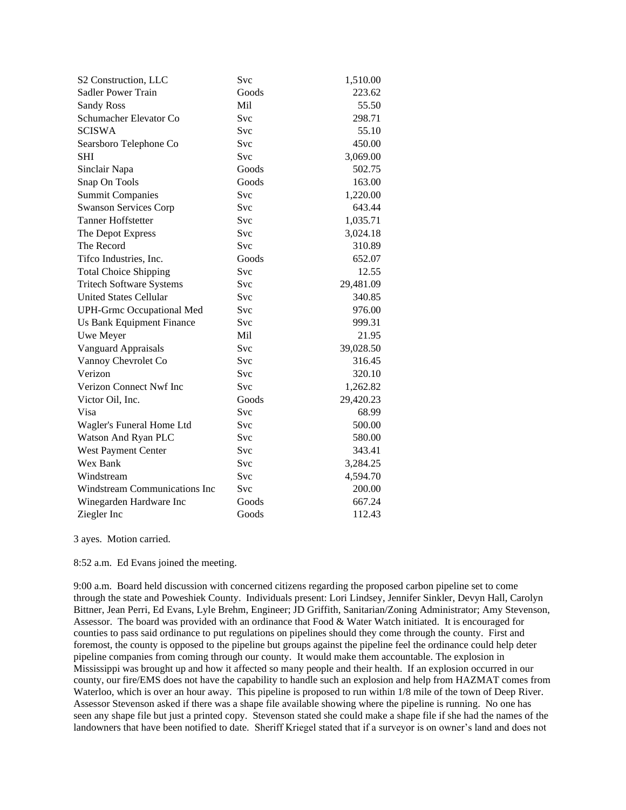| S2 Construction, LLC             | Svc        | 1,510.00  |
|----------------------------------|------------|-----------|
| <b>Sadler Power Train</b>        | Goods      | 223.62    |
| <b>Sandy Ross</b>                | Mil        | 55.50     |
| Schumacher Elevator Co           | Svc        | 298.71    |
| <b>SCISWA</b>                    | Svc        | 55.10     |
| Searsboro Telephone Co           | Svc        | 450.00    |
| <b>SHI</b>                       | Svc        | 3,069.00  |
| Sinclair Napa                    | Goods      | 502.75    |
| Snap On Tools                    | Goods      | 163.00    |
| <b>Summit Companies</b>          | <b>Svc</b> | 1,220.00  |
| <b>Swanson Services Corp</b>     | Svc        | 643.44    |
| <b>Tanner Hoffstetter</b>        | <b>Svc</b> | 1,035.71  |
| The Depot Express                | <b>Svc</b> | 3,024.18  |
| The Record                       | Svc        | 310.89    |
| Tifco Industries, Inc.           | Goods      | 652.07    |
| <b>Total Choice Shipping</b>     | Svc        | 12.55     |
| <b>Tritech Software Systems</b>  | Svc        | 29,481.09 |
| <b>United States Cellular</b>    | Svc        | 340.85    |
| <b>UPH-Grmc Occupational Med</b> | Svc        | 976.00    |
| Us Bank Equipment Finance        | Svc        | 999.31    |
| Uwe Meyer                        | Mil        | 21.95     |
| Vanguard Appraisals              | Svc        | 39,028.50 |
| Vannoy Chevrolet Co              | Svc        | 316.45    |
| Verizon                          | <b>Svc</b> | 320.10    |
| Verizon Connect Nwf Inc          | Svc        | 1,262.82  |
| Victor Oil, Inc.                 | Goods      | 29,420.23 |
| Visa                             | Svc        | 68.99     |
| Wagler's Funeral Home Ltd        | Svc        | 500.00    |
| Watson And Ryan PLC              | Svc        | 580.00    |
| West Payment Center              | <b>Svc</b> | 343.41    |
| Wex Bank                         | Svc        | 3,284.25  |
| Windstream                       | Svc        | 4,594.70  |
| Windstream Communications Inc    | Svc        | 200.00    |
| Winegarden Hardware Inc          | Goods      | 667.24    |
| Ziegler Inc                      | Goods      | 112.43    |

3 ayes. Motion carried.

8:52 a.m. Ed Evans joined the meeting.

9:00 a.m. Board held discussion with concerned citizens regarding the proposed carbon pipeline set to come through the state and Poweshiek County. Individuals present: Lori Lindsey, Jennifer Sinkler, Devyn Hall, Carolyn Bittner, Jean Perri, Ed Evans, Lyle Brehm, Engineer; JD Griffith, Sanitarian/Zoning Administrator; Amy Stevenson, Assessor. The board was provided with an ordinance that Food & Water Watch initiated. It is encouraged for counties to pass said ordinance to put regulations on pipelines should they come through the county. First and foremost, the county is opposed to the pipeline but groups against the pipeline feel the ordinance could help deter pipeline companies from coming through our county. It would make them accountable. The explosion in Mississippi was brought up and how it affected so many people and their health. If an explosion occurred in our county, our fire/EMS does not have the capability to handle such an explosion and help from HAZMAT comes from Waterloo, which is over an hour away. This pipeline is proposed to run within 1/8 mile of the town of Deep River. Assessor Stevenson asked if there was a shape file available showing where the pipeline is running. No one has seen any shape file but just a printed copy. Stevenson stated she could make a shape file if she had the names of the landowners that have been notified to date. Sheriff Kriegel stated that if a surveyor is on owner's land and does not